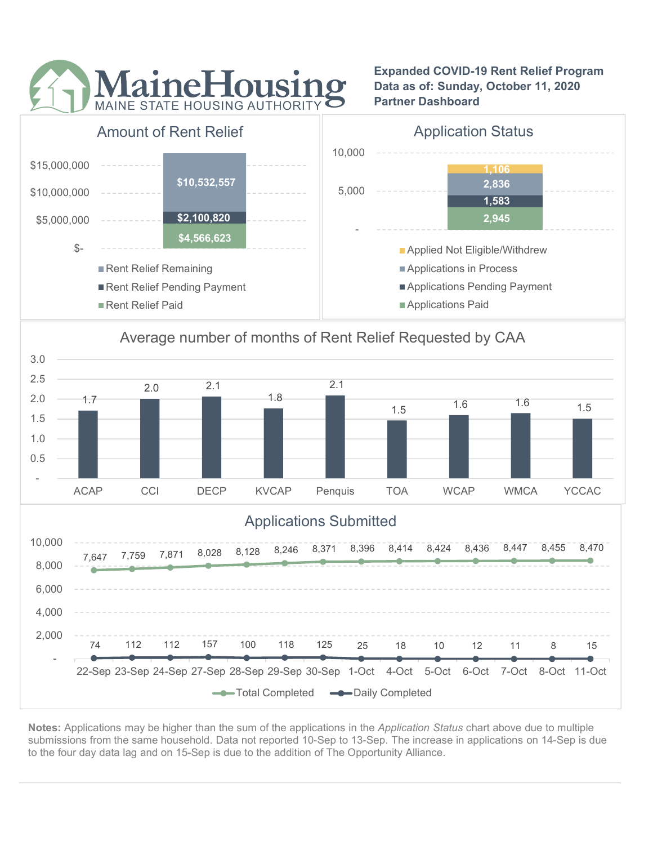

Expanded COVID-19 Rent Relief Program Data as of: Sunday, October 11, 2020 Partner Dashboard







Notes: Applications may be higher than the sum of the applications in the Application Status chart above due to multiple submissions from the same household. Data not reported 10-Sep to 13-Sep. The increase in applications on 14-Sep is due to the four day data lag and on 15-Sep is due to the addition of The Opportunity Alliance.